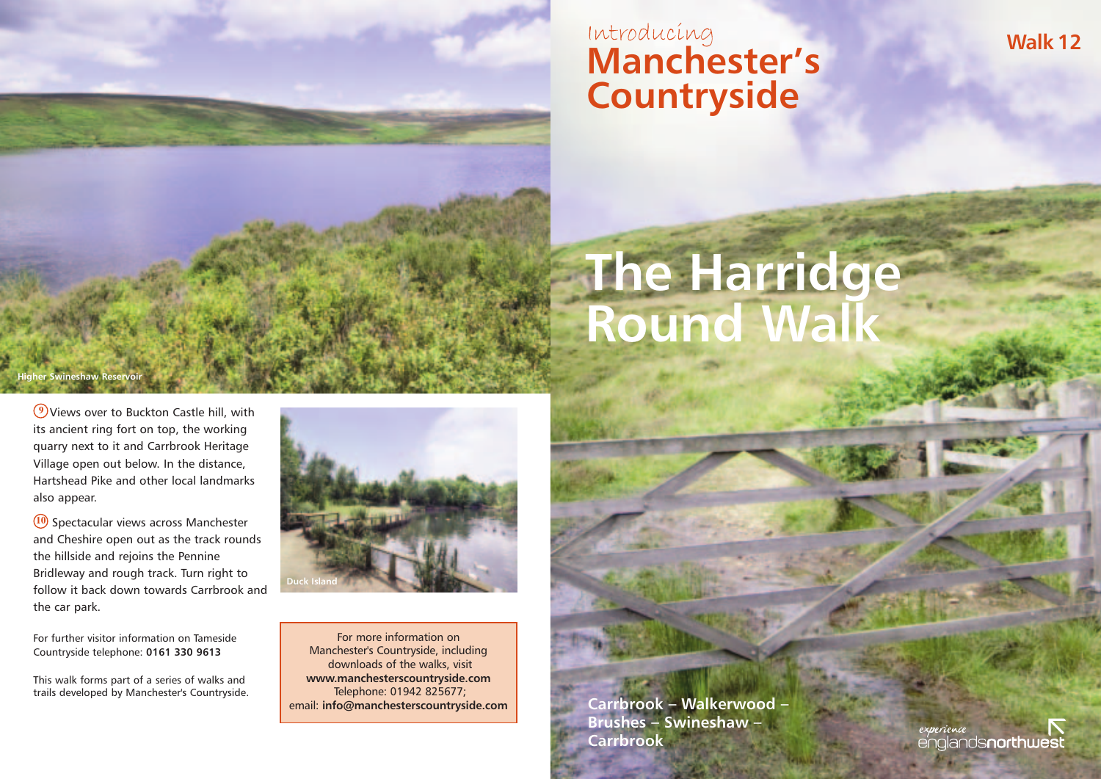## Introducing<br>**Introducing Manchester's Countryside**

# **The Harridge Round Walk**

#### **Higher Swineshaw Reservoir**

**9** Views over to Buckton Castle hill, with its ancient ring fort on top, the working quarry next to it and Carrbrook Heritage Village open out below. In the distance, Hartshead Pike and other local landmarks also appear.

**10** Spectacular views across Manchester and Cheshire open out as the track rounds the hillside and rejoins the Pennine Bridleway and rough track. Turn right to follow it back down towards Carrbrook and the car park.

For further visitor information on Tameside Countryside telephone: **0161 330 9613**

This walk forms part of a series of walks and trails developed by Manchester's Countryside.



For more information on Manchester's Countryside, including downloads of the walks, visit **www.manchesterscountryside.com** Telephone: 01942 825677; email: **info@manchesterscountryside.com**

**Carrbrook – Walkerwood – Brushes – Swineshaw – Carrbrook**

experience englands**northwes**